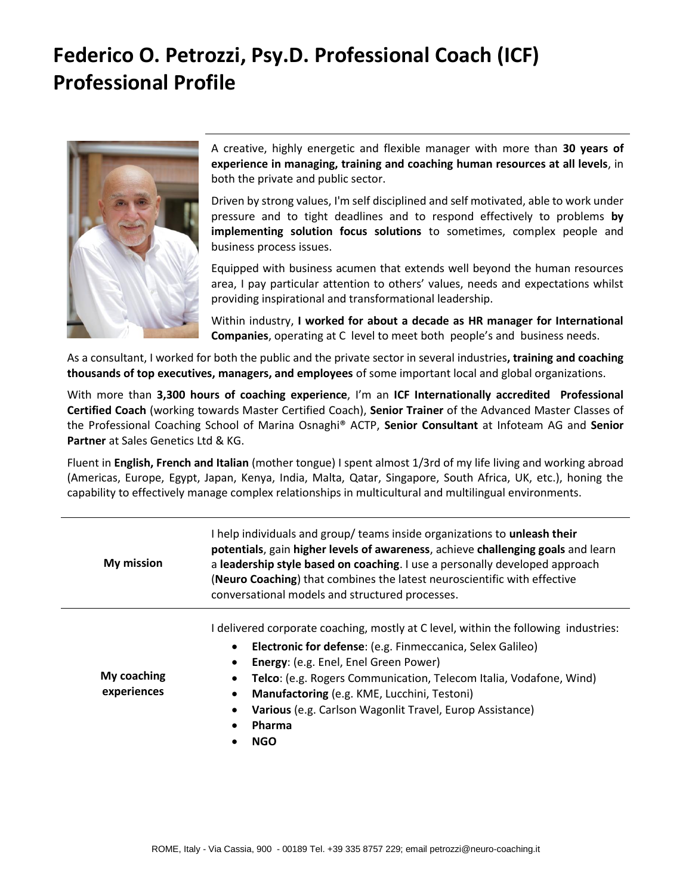## **Federico O. Petrozzi, Psy.D. Professional Coach (ICF) Professional Profile**



A creative, highly energetic and flexible manager with more than **30 years of experience in managing, training and coaching human resources at all levels**, in both the private and public sector.

Driven by strong values, I'm self disciplined and self motivated, able to work under pressure and to tight deadlines and to respond effectively to problems **by implementing solution focus solutions** to sometimes, complex people and business process issues.

Equipped with business acumen that extends well beyond the human resources area, I pay particular attention to others' values, needs and expectations whilst providing inspirational and transformational leadership.

Within industry, **I worked for about a decade as HR manager for International Companies**, operating at C level to meet both people's and business needs.

As a consultant, I worked for both the public and the private sector in several industries**, training and coaching thousands of top executives, managers, and employees** of some important local and global organizations.

With more than **3,300 hours of coaching experience**, I'm an **ICF Internationally accredited Professional Certified Coach** (working towards Master Certified Coach), **Senior Trainer** of the Advanced Master Classes of the Professional Coaching School of Marina Osnaghi® ACTP, **Senior Consultant** at Infoteam AG and **Senior Partner** at Sales Genetics Ltd & KG.

Fluent in **English, French and Italian** (mother tongue) I spent almost 1/3rd of my life living and working abroad (Americas, Europe, Egypt, Japan, Kenya, India, Malta, Qatar, Singapore, South Africa, UK, etc.), honing the capability to effectively manage complex relationships in multicultural and multilingual environments.

| <b>My mission</b>          | I help individuals and group/ teams inside organizations to unleash their<br>potentials, gain higher levels of awareness, achieve challenging goals and learn<br>a leadership style based on coaching. I use a personally developed approach<br>(Neuro Coaching) that combines the latest neuroscientific with effective<br>conversational models and structured processes.                  |
|----------------------------|----------------------------------------------------------------------------------------------------------------------------------------------------------------------------------------------------------------------------------------------------------------------------------------------------------------------------------------------------------------------------------------------|
| My coaching<br>experiences | I delivered corporate coaching, mostly at C level, within the following industries:<br>Electronic for defense: (e.g. Finmeccanica, Selex Galileo)<br>Energy: (e.g. Enel, Enel Green Power)<br>Telco: (e.g. Rogers Communication, Telecom Italia, Vodafone, Wind)<br>Manufactoring (e.g. KME, Lucchini, Testoni)<br>Various (e.g. Carlson Wagonlit Travel, Europ Assistance)<br>Pharma<br>NGO |